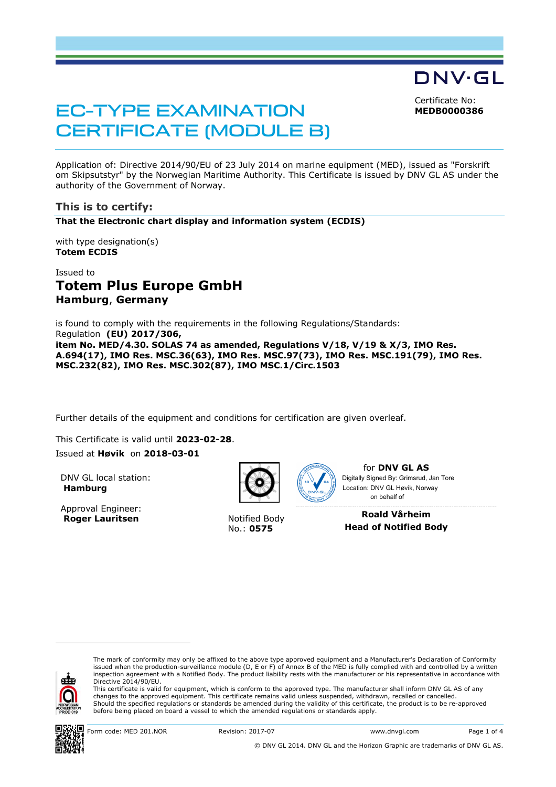Certificate No: **MEDB0000386**

DNV·GL

# EC-TYPE EXAMINATION CERTIFICATE (MODULE B)

Application of: Directive 2014/90/EU of 23 July 2014 on marine equipment (MED), issued as "Forskrift om Skipsutstyr" by the Norwegian Maritime Authority. This Certificate is issued by DNV GL AS under the authority of the Government of Norway.

#### **This is to certify:**

**That the Electronic chart display and information system (ECDIS)**

with type designation(s) **Totem ECDIS**

# Issued to **Totem Plus Europe GmbH Hamburg**, **Germany**

is found to comply with the requirements in the following Regulations/Standards: Regulation **(EU) 2017/306, item No. MED/4.30. SOLAS 74 as amended, Regulations V/18, V/19 & X/3, IMO Res. A.694(17), IMO Res. MSC.36(63), IMO Res. MSC.97(73), IMO Res. MSC.191(79), IMO Res. MSC.232(82), IMO Res. MSC.302(87), IMO MSC.1/Circ.1503** 

Further details of the equipment and conditions for certification are given overleaf.

This Certificate is valid until **2023-02-28**.

#### Issued at **Høvik** on **2018-03-01**

DNV GL local station: **Hamburg**

Approval Engineer: **Roger Lauritsen** Notified Body



No.: **0575**



for **DNV GL AS** Digitally Signed By: Grimsrud, Jan Tore Location: DNV GL Høvik, Norway on behalf of

**Roald Vårheim Head of Notified Body** 



i<br>I

The mark of conformity may only be affixed to the above type approved equipment and a Manufacturer's Declaration of Conformity issued when the production-surveillance module (D, E or F) of Annex B of the MED is fully complied with and controlled by a written inspection agreement with a Notified Body. The product liability rests with the manufacturer or his representative in accordance with Directive 2014/90/EU.

This certificate is valid for equipment, which is conform to the approved type. The manufacturer shall inform DNV GL AS of any changes to the approved equipment. This certificate remains valid unless suspended, withdrawn, recalled or cancelled. Should the specified regulations or standards be amended during the validity of this certificate, the product is to be re-approved before being placed on board a vessel to which the amended regulations or standards apply.



Form code: MED 201.NOR Revision: 2017-07 www.dnvgl.com Page 1 of 4

© DNV GL 2014. DNV GL and the Horizon Graphic are trademarks of DNV GL AS.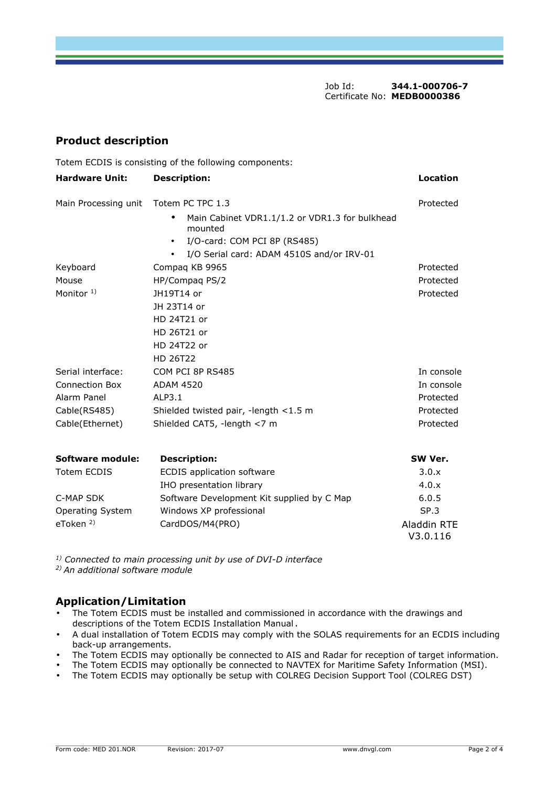Job Id: **344.1-000706-7**  Certificate No: **MEDB0000386**

### **Product description**

Totem ECDIS is consisting of the following components:

| <b>Hardware Unit:</b>   | <b>Description:</b>                                                    |           |  |  |
|-------------------------|------------------------------------------------------------------------|-----------|--|--|
| Main Processing unit    | Totem PC TPC 1.3                                                       | Protected |  |  |
|                         | Main Cabinet VDR1.1/1.2 or VDR1.3 for bulkhead<br>$\bullet$<br>mounted |           |  |  |
|                         | I/O-card: COM PCI 8P (RS485)<br>$\bullet$                              |           |  |  |
|                         | I/O Serial card: ADAM 4510S and/or IRV-01<br>$\bullet$                 |           |  |  |
| Keyboard                | Compag KB 9965<br>Protected                                            |           |  |  |
| Mouse                   | HP/Compag PS/2<br>Protected                                            |           |  |  |
| Monitor $1$ )           | JH19T14 or                                                             | Protected |  |  |
|                         | JH 23T14 or                                                            |           |  |  |
|                         | HD 24T21 or                                                            |           |  |  |
|                         | HD 26T21 or                                                            |           |  |  |
|                         | HD 24T22 or                                                            |           |  |  |
|                         | HD 26T22                                                               |           |  |  |
| Serial interface:       | In console<br>COM PCI 8P RS485                                         |           |  |  |
| <b>Connection Box</b>   | <b>ADAM 4520</b><br>In console                                         |           |  |  |
| Alarm Panel             | ALP3.1<br>Protected                                                    |           |  |  |
| Cable(RS485)            | Shielded twisted pair, -length <1.5 m<br>Protected                     |           |  |  |
| Cable(Ethernet)         | Shielded CAT5, -length <7 m<br>Protected                               |           |  |  |
| Software module:        | <b>Description:</b>                                                    | SW Ver.   |  |  |
| <b>Totem ECDIS</b>      | <b>ECDIS</b> application software                                      | 3.0.x     |  |  |
|                         | IHO presentation library                                               | 4.0.x     |  |  |
| C-MAP SDK               | Software Development Kit supplied by C Map<br>6.0.5                    |           |  |  |
| <b>Operating System</b> | Windows XP professional<br>SP.3                                        |           |  |  |

*1) Connected to main processing unit by use of DVI-D interface 2) An additional software module* 

# **Application/Limitation**

• The Totem ECDIS must be installed and commissioned in accordance with the drawings and descriptions of the Totem ECDIS Installation Manual.

eToken<sup>2)</sup> CardDOS/M4(PRO) CONVERTERING CONVERTERING CONVERTERING CONVERTERING CONVERTERING CONVERTERING CONVERTE

- A dual installation of Totem ECDIS may comply with the SOLAS requirements for an ECDIS including back-up arrangements.
- The Totem ECDIS may optionally be connected to AIS and Radar for reception of target information.
- The Totem ECDIS may optionally be connected to NAVTEX for Maritime Safety Information (MSI).
- The Totem ECDIS may optionally be setup with COLREG Decision Support Tool (COLREG DST)

V3.0.116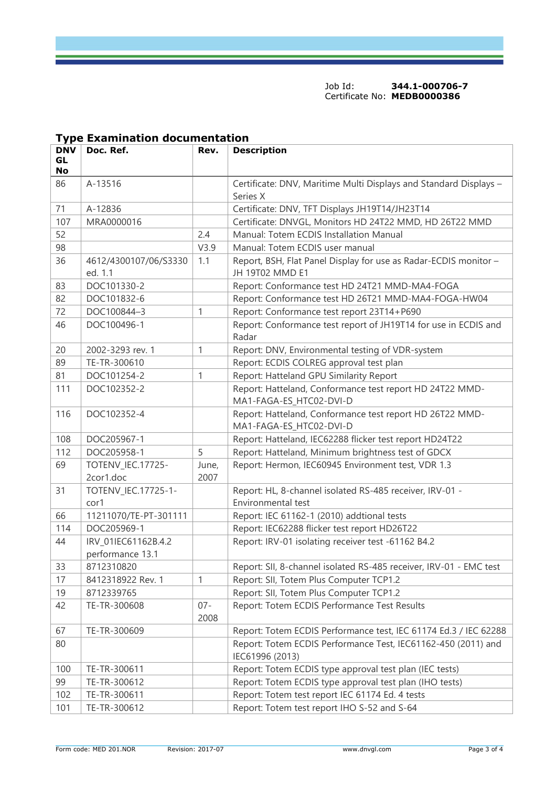Job Id: **344.1-000706-7**  Certificate No: **MEDB0000386**

|                        | Type examination documentation          |                |                                                                                     |
|------------------------|-----------------------------------------|----------------|-------------------------------------------------------------------------------------|
| <b>DNV</b><br>GL<br>No | Doc. Ref.                               | Rev.           | <b>Description</b>                                                                  |
| 86                     | A-13516                                 |                | Certificate: DNV, Maritime Multi Displays and Standard Displays -<br>Series X       |
| 71                     | A-12836                                 |                | Certificate: DNV, TFT Displays JH19T14/JH23T14                                      |
| 107                    | MRA0000016                              |                | Certificate: DNVGL, Monitors HD 24T22 MMD, HD 26T22 MMD                             |
| 52                     |                                         | 2.4            | Manual: Totem ECDIS Installation Manual                                             |
| 98                     |                                         | V3.9           | Manual: Totem ECDIS user manual                                                     |
| 36                     | 4612/4300107/06/S3330<br>ed. 1.1        | 1.1            | Report, BSH, Flat Panel Display for use as Radar-ECDIS monitor -<br>JH 19T02 MMD E1 |
| 83                     | DOC101330-2                             |                | Report: Conformance test HD 24T21 MMD-MA4-FOGA                                      |
| 82                     | DOC101832-6                             |                | Report: Conformance test HD 26T21 MMD-MA4-FOGA-HW04                                 |
| 72                     | DOC100844-3                             | 1              | Report: Conformance test report 23T14+P690                                          |
| 46                     | DOC100496-1                             |                | Report: Conformance test report of JH19T14 for use in ECDIS and<br>Radar            |
| 20                     | 2002-3293 rev. 1                        | 1              | Report: DNV, Environmental testing of VDR-system                                    |
| 89                     | TE-TR-300610                            |                | Report: ECDIS COLREG approval test plan                                             |
| 81                     | DOC101254-2                             | 1              | Report: Hatteland GPU Similarity Report                                             |
| 111                    | DOC102352-2                             |                | Report: Hatteland, Conformance test report HD 24T22 MMD-<br>MA1-FAGA-ES_HTC02-DVI-D |
| 116                    | DOC102352-4                             |                | Report: Hatteland, Conformance test report HD 26T22 MMD-<br>MA1-FAGA-ES_HTC02-DVI-D |
| 108                    | DOC205967-1                             |                | Report: Hatteland, IEC62288 flicker test report HD24T22                             |
| 112                    | DOC205958-1                             | 5              | Report: Hatteland, Minimum brightness test of GDCX                                  |
| 69                     | TOTENV_IEC.17725-<br>2cor1.doc          | June,<br>2007  | Report: Hermon, IEC60945 Environment test, VDR 1.3                                  |
| 31                     | TOTENV_IEC.17725-1-<br>cor1             |                | Report: HL, 8-channel isolated RS-485 receiver, IRV-01 -<br>Environmental test      |
| 66                     | 11211070/TE-PT-301111                   |                | Report: IEC 61162-1 (2010) addtional tests                                          |
| 114                    | DOC205969-1                             |                | Report: IEC62288 flicker test report HD26T22                                        |
| 44                     | IRV_01IEC61162B.4.2<br>performance 13.1 |                | Report: IRV-01 isolating receiver test -61162 B4.2                                  |
| 33                     | 8712310820                              |                | Report: SII, 8-channel isolated RS-485 receiver, IRV-01 - EMC test                  |
| 17                     | 8412318922 Rev. 1                       | 1              | Report: SII, Totem Plus Computer TCP1.2                                             |
| 19                     | 8712339765                              |                | Report: SII, Totem Plus Computer TCP1.2                                             |
| 42                     | TE-TR-300608                            | $07 -$<br>2008 | Report: Totem ECDIS Performance Test Results                                        |
| 67                     | TE-TR-300609                            |                | Report: Totem ECDIS Performance test, IEC 61174 Ed.3 / IEC 62288                    |
| 80                     |                                         |                | Report: Totem ECDIS Performance Test, IEC61162-450 (2011) and<br>IEC61996 (2013)    |
| 100                    | TE-TR-300611                            |                | Report: Totem ECDIS type approval test plan (IEC tests)                             |
| 99                     | TE-TR-300612                            |                | Report: Totem ECDIS type approval test plan (IHO tests)                             |
| 102                    | TE-TR-300611                            |                | Report: Totem test report IEC 61174 Ed. 4 tests                                     |
| 101                    | TE-TR-300612                            |                | Report: Totem test report IHO S-52 and S-64                                         |

# **Type Examination documentation**